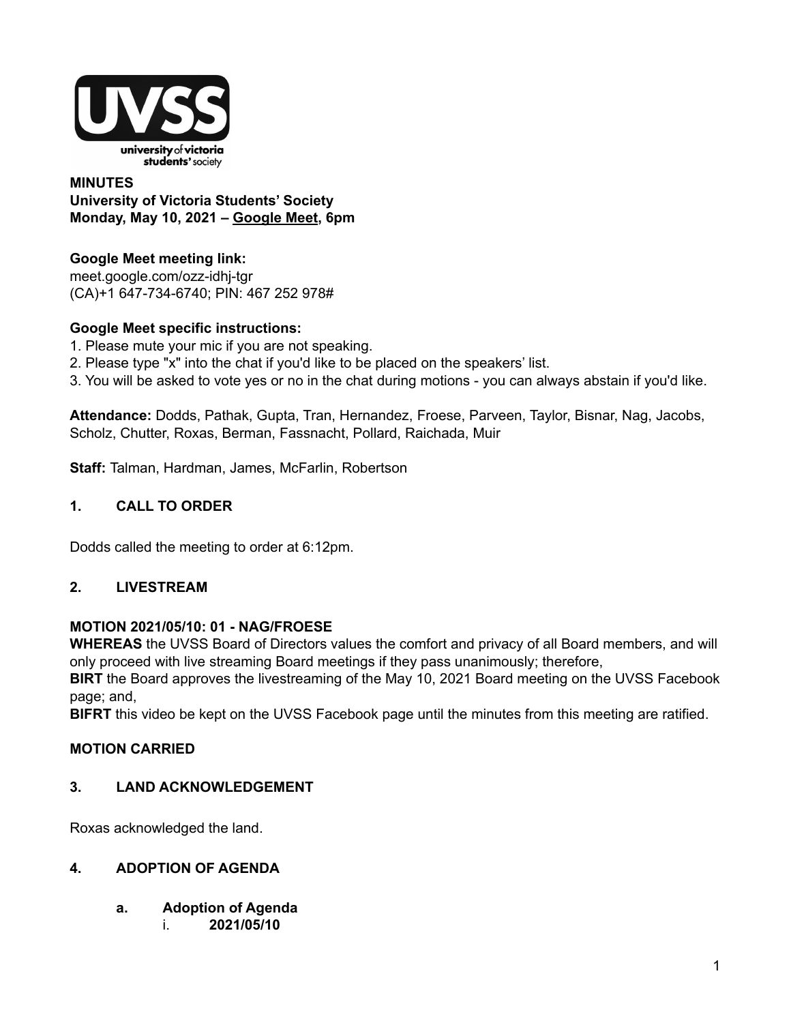

### **MINUTES University of Victoria Students' Society Monday, May 10, 2021 – [Google](http://meet.google.com/ozz-idhj-tgr) Meet, 6pm**

## **Google Meet meeting link:**

[meet.google.com/ozz-idhj-tgr](https://meet.google.com/ozz-idhj-tgr?hs=122&authuser=2) (CA)+1 647-734-6740; PIN: 467 252 978#

## **Google Meet specific instructions:**

- 1. Please mute your mic if you are not speaking.
- 2. Please type "x" into the chat if you'd like to be placed on the speakers' list.
- 3. You will be asked to vote yes or no in the chat during motions you can always abstain if you'd like.

**Attendance:** Dodds, Pathak, Gupta, Tran, Hernandez, Froese, Parveen, Taylor, Bisnar, Nag, Jacobs, Scholz, Chutter, Roxas, Berman, Fassnacht, Pollard, Raichada, Muir

**Staff:** Talman, Hardman, James, McFarlin, Robertson

## **1. CALL TO ORDER**

Dodds called the meeting to order at 6:12pm.

## **2. LIVESTREAM**

## **MOTION 2021/05/10: 01 - NAG/FROESE**

**WHEREAS** the UVSS Board of Directors values the comfort and privacy of all Board members, and will only proceed with live streaming Board meetings if they pass unanimously; therefore,

**BIRT** the Board approves the livestreaming of the May 10, 2021 Board meeting on the UVSS Facebook page; and,

**BIFRT** this video be kept on the UVSS Facebook page until the minutes from this meeting are ratified.

## **MOTION CARRIED**

## **3. LAND ACKNOWLEDGEMENT**

Roxas acknowledged the land.

#### **4. ADOPTION OF AGENDA**

- **a. Adoption of Agenda**
	- i. **2021/05/10**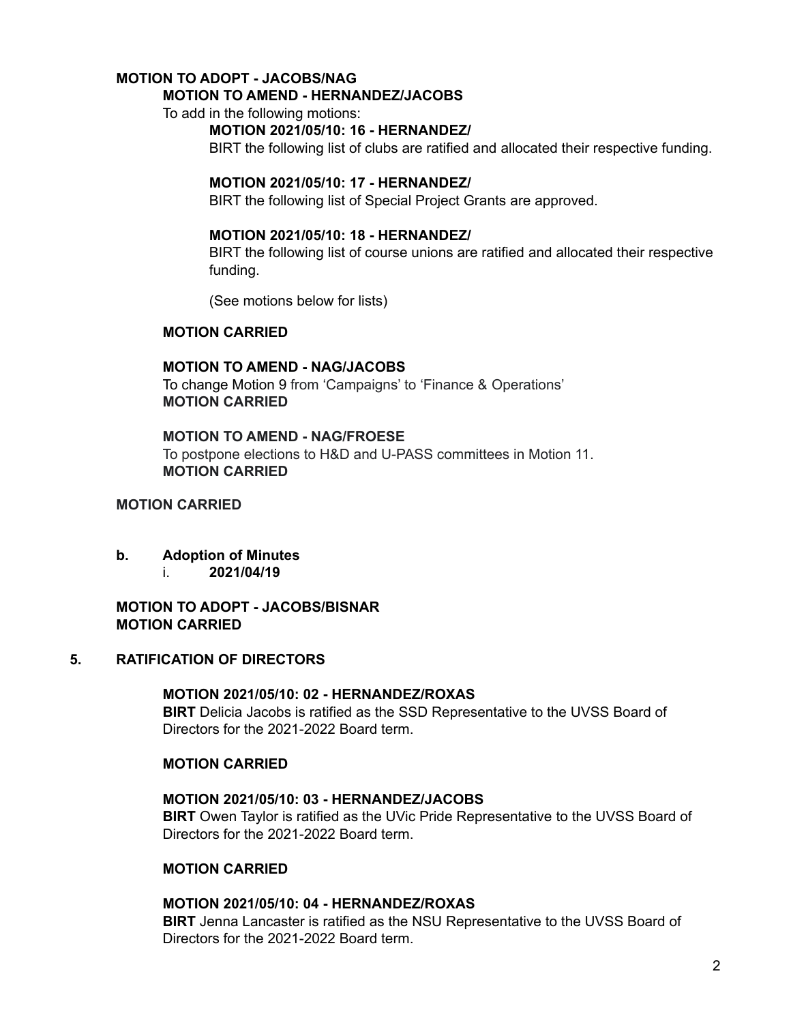# **MOTION TO ADOPT - JACOBS/NAG**

## **MOTION TO AMEND - HERNANDEZ/JACOBS**

To add in the following motions:

#### **MOTION 2021/05/10: 16 - HERNANDEZ/**

BIRT the following list of clubs are ratified and allocated their respective funding.

#### **MOTION 2021/05/10: 17 - HERNANDEZ/**

BIRT the following list of Special Project Grants are approved.

#### **MOTION 2021/05/10: 18 - HERNANDEZ/**

BIRT the following list of course unions are ratified and allocated their respective funding.

(See motions below for lists)

#### **MOTION CARRIED**

#### **MOTION TO AMEND - NAG/JACOBS**

To change Motion 9 from 'Campaigns' to 'Finance & Operations' **MOTION CARRIED**

#### **MOTION TO AMEND - NAG/FROESE**

To postpone elections to H&D and U-PASS committees in Motion 11. **MOTION CARRIED**

## **MOTION CARRIED**

- **b. Adoption of Minutes**
	- i. **2021/04/19**

#### **MOTION TO ADOPT - JACOBS/BISNAR MOTION CARRIED**

#### **5. RATIFICATION OF DIRECTORS**

## **MOTION 2021/05/10: 02 - HERNANDEZ/ROXAS**

**BIRT** Delicia Jacobs is ratified as the SSD Representative to the UVSS Board of Directors for the 2021-2022 Board term.

#### **MOTION CARRIED**

#### **MOTION 2021/05/10: 03 - HERNANDEZ/JACOBS**

**BIRT** Owen Taylor is ratified as the UVic Pride Representative to the UVSS Board of Directors for the 2021-2022 Board term.

#### **MOTION CARRIED**

#### **MOTION 2021/05/10: 04 - HERNANDEZ/ROXAS**

**BIRT** Jenna Lancaster is ratified as the NSU Representative to the UVSS Board of Directors for the 2021-2022 Board term.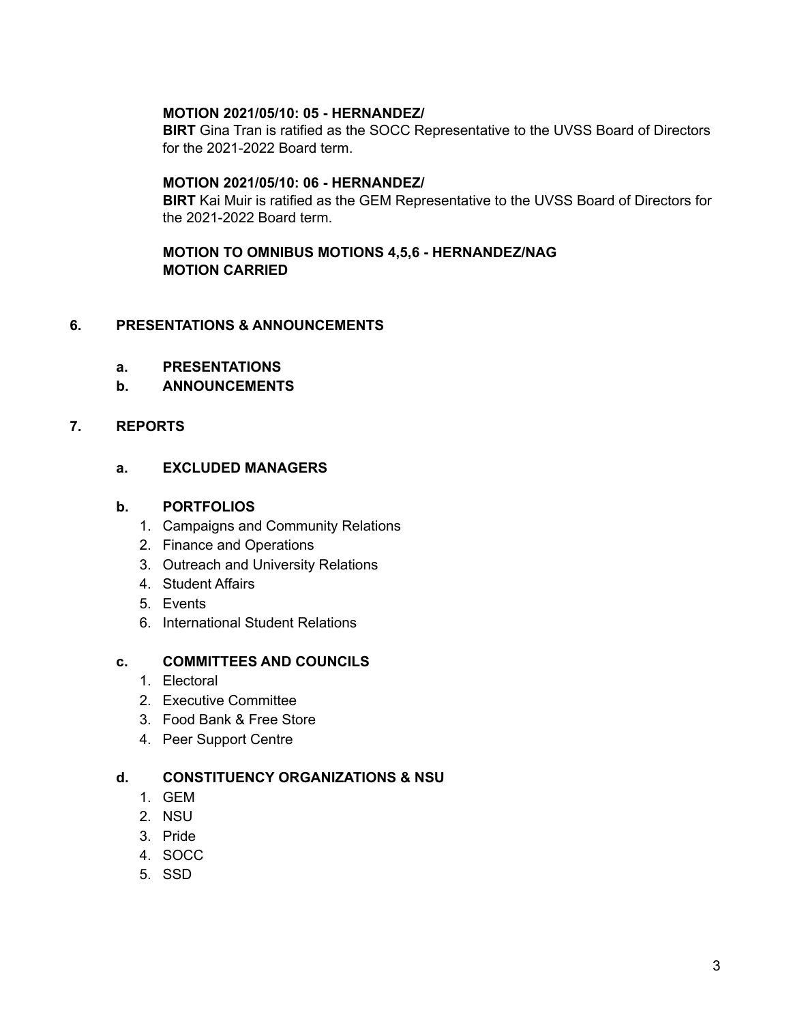#### **MOTION 2021/05/10: 05 - HERNANDEZ/**

**BIRT** Gina Tran is ratified as the SOCC Representative to the UVSS Board of Directors for the 2021-2022 Board term.

#### **MOTION 2021/05/10: 06 - HERNANDEZ/**

**BIRT** Kai Muir is ratified as the GEM Representative to the UVSS Board of Directors for the 2021-2022 Board term.

#### **MOTION TO OMNIBUS MOTIONS 4,5,6 - HERNANDEZ/NAG MOTION CARRIED**

## **6. PRESENTATIONS & ANNOUNCEMENTS**

- **a. PRESENTATIONS**
- **b. ANNOUNCEMENTS**

## **7. REPORTS**

#### **a. EXCLUDED MANAGERS**

## **b. PORTFOLIOS**

- 1. Campaigns and Community Relations
- 2. Finance and Operations
- 3. Outreach and University Relations
- 4. Student Affairs
- 5. Events
- 6. International Student Relations

#### **c. COMMITTEES AND COUNCILS**

- 1. Electoral
- 2. Executive Committee
- 3. Food Bank & Free Store
- 4. Peer Support Centre

#### **d. CONSTITUENCY ORGANIZATIONS & NSU**

- 1. GEM
- 2. NSU
- 3. Pride
- 4. SOCC
- 5. SSD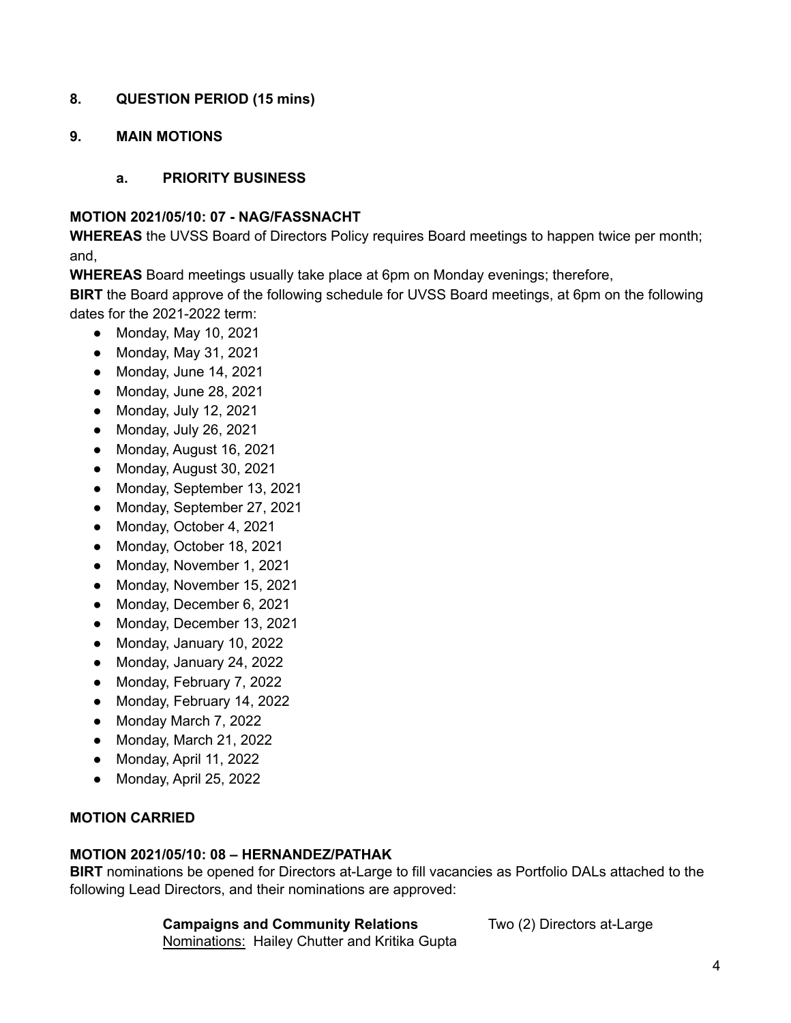## **8. QUESTION PERIOD (15 mins)**

## **9. MAIN MOTIONS**

## **a. PRIORITY BUSINESS**

#### **MOTION 2021/05/10: 07 - NAG/FASSNACHT**

**WHEREAS** the UVSS Board of Directors Policy requires Board meetings to happen twice per month; and,

**WHEREAS** Board meetings usually take place at 6pm on Monday evenings; therefore,

**BIRT** the Board approve of the following schedule for UVSS Board meetings, at 6pm on the following dates for the 2021-2022 term:

- Monday, May 10, 2021
- Monday, May 31, 2021
- Monday, June 14, 2021
- Monday, June 28, 2021
- Monday, July 12, 2021
- Monday, July 26, 2021
- Monday, August 16, 2021
- Monday, August 30, 2021
- Monday, September 13, 2021
- Monday, September 27, 2021
- Monday, October 4, 2021
- Monday, October 18, 2021
- Monday, November 1, 2021
- Monday, November 15, 2021
- Monday, December 6, 2021
- Monday, December 13, 2021
- Monday, January 10, 2022
- Monday, January 24, 2022
- Monday, February 7, 2022
- Monday, February 14, 2022
- Monday March 7, 2022
- Monday, March 21, 2022
- Monday, April 11, 2022
- Monday, April 25, 2022

## **MOTION CARRIED**

#### **MOTION 2021/05/10: 08 – HERNANDEZ/PATHAK**

**BIRT** nominations be opened for Directors at-Large to fill vacancies as Portfolio DALs attached to the following Lead Directors, and their nominations are approved:

#### **Campaigns and Community Relations** Two (2) Directors at-Large

Nominations: Hailey Chutter and Kritika Gupta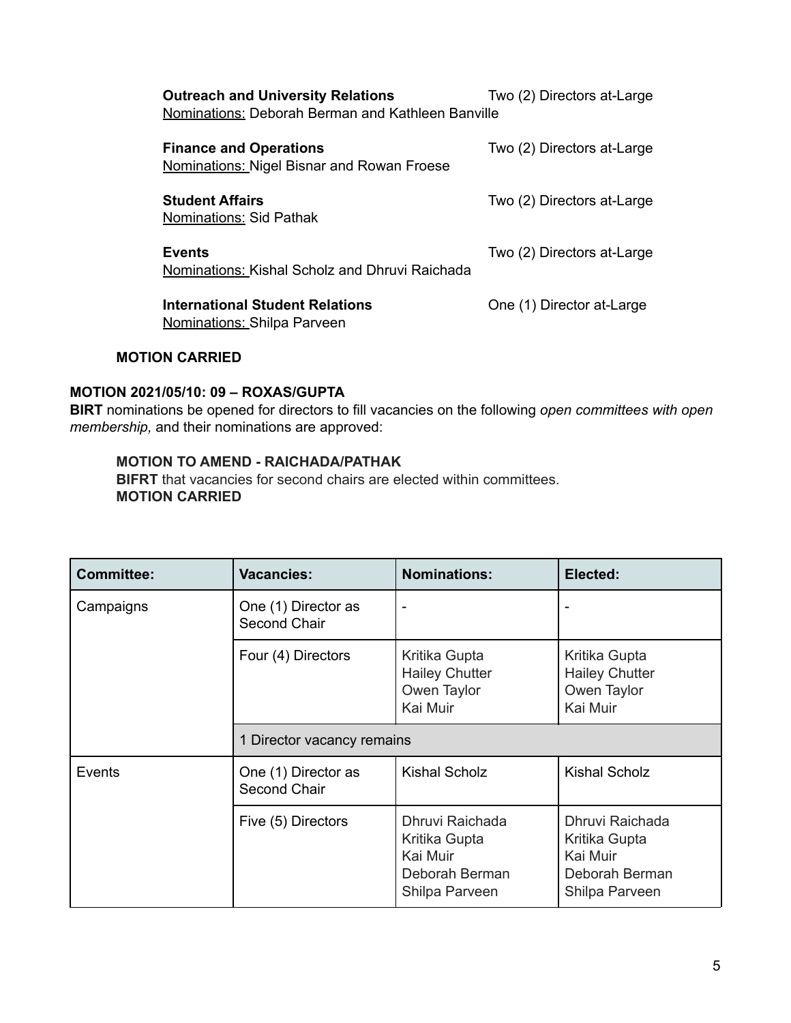| <b>Outreach and University Relations</b><br>Two (2) Directors at-Large<br>Nominations: Deborah Berman and Kathleen Banville |                            |  |  |
|-----------------------------------------------------------------------------------------------------------------------------|----------------------------|--|--|
| <b>Finance and Operations</b><br>Nominations: Nigel Bisnar and Rowan Froese                                                 | Two (2) Directors at-Large |  |  |
| <b>Student Affairs</b><br>Nominations: Sid Pathak                                                                           | Two (2) Directors at-Large |  |  |
| <b>Events</b><br>Nominations: Kishal Scholz and Dhruvi Raichada                                                             | Two (2) Directors at-Large |  |  |
| <b>International Student Relations</b><br><b>Nominations: Shilpa Parveen</b>                                                | One (1) Director at-Large  |  |  |

## **MOTION CARRIED**

## **MOTION 2021/05/10: 09 – ROXAS/GUPTA**

**BIRT** nominations be opened for directors to fill vacancies on the following *open committees with open membership,* and their nominations are approved:

#### **MOTION TO AMEND - RAICHADA/PATHAK**

**BIFRT** that vacancies for second chairs are elected within committees. **MOTION CARRIED**

| <b>Committee:</b> | <b>Vacancies:</b>                   | <b>Nominations:</b>                                                              | Elected:                                                                         |  |
|-------------------|-------------------------------------|----------------------------------------------------------------------------------|----------------------------------------------------------------------------------|--|
| Campaigns         | One (1) Director as<br>Second Chair | $\overline{\phantom{a}}$                                                         |                                                                                  |  |
|                   | Four (4) Directors                  | Kritika Gupta<br><b>Hailey Chutter</b><br>Owen Taylor<br>Kai Muir                | Kritika Gupta<br><b>Hailey Chutter</b><br>Owen Taylor<br>Kai Muir                |  |
|                   | 1 Director vacancy remains          |                                                                                  |                                                                                  |  |
| Events            | One (1) Director as<br>Second Chair | <b>Kishal Scholz</b>                                                             | <b>Kishal Scholz</b>                                                             |  |
|                   | Five (5) Directors                  | Dhruvi Raichada<br>Kritika Gupta<br>Kai Muir<br>Deborah Berman<br>Shilpa Parveen | Dhruvi Raichada<br>Kritika Gupta<br>Kai Muir<br>Deborah Berman<br>Shilpa Parveen |  |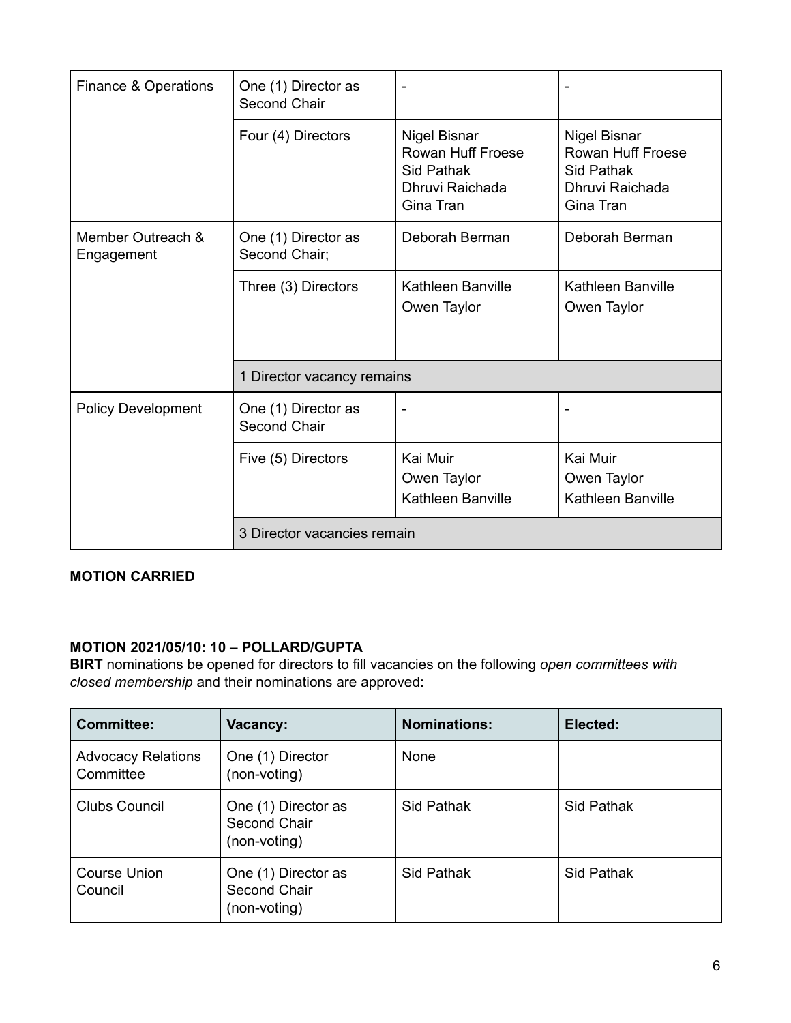| Finance & Operations            | One (1) Director as<br>Second Chair        | $\blacksquare$                                                                         |                                                                                               |  |
|---------------------------------|--------------------------------------------|----------------------------------------------------------------------------------------|-----------------------------------------------------------------------------------------------|--|
|                                 | Four (4) Directors                         | <b>Nigel Bisnar</b><br>Rowan Huff Froese<br>Sid Pathak<br>Dhruvi Raichada<br>Gina Tran | <b>Nigel Bisnar</b><br>Rowan Huff Froese<br><b>Sid Pathak</b><br>Dhruvi Raichada<br>Gina Tran |  |
| Member Outreach &<br>Engagement | One (1) Director as<br>Second Chair;       | Deborah Berman                                                                         | Deborah Berman                                                                                |  |
|                                 | Three (3) Directors                        | Kathleen Banville<br>Owen Taylor                                                       | Kathleen Banville<br>Owen Taylor                                                              |  |
|                                 | 1 Director vacancy remains                 |                                                                                        |                                                                                               |  |
| <b>Policy Development</b>       | One (1) Director as<br><b>Second Chair</b> | $\overline{\phantom{m}}$                                                               |                                                                                               |  |
|                                 | Five (5) Directors                         | Kai Muir<br>Owen Taylor<br>Kathleen Banville                                           | Kai Muir<br>Owen Taylor<br>Kathleen Banville                                                  |  |
|                                 | 3 Director vacancies remain                |                                                                                        |                                                                                               |  |

## **MOTION CARRIED**

## **MOTION 2021/05/10: 10 – POLLARD/GUPTA**

**BIRT** nominations be opened for directors to fill vacancies on the following *open committees with closed membership* and their nominations are approved:

| <b>Committee:</b>                      | Vacancy:                                            | <b>Nominations:</b> | Elected:   |
|----------------------------------------|-----------------------------------------------------|---------------------|------------|
| <b>Advocacy Relations</b><br>Committee | One (1) Director<br>(non-voting)                    | None                |            |
| <b>Clubs Council</b>                   | One (1) Director as<br>Second Chair<br>(non-voting) | Sid Pathak          | Sid Pathak |
| <b>Course Union</b><br>Council         | One (1) Director as<br>Second Chair<br>(non-voting) | Sid Pathak          | Sid Pathak |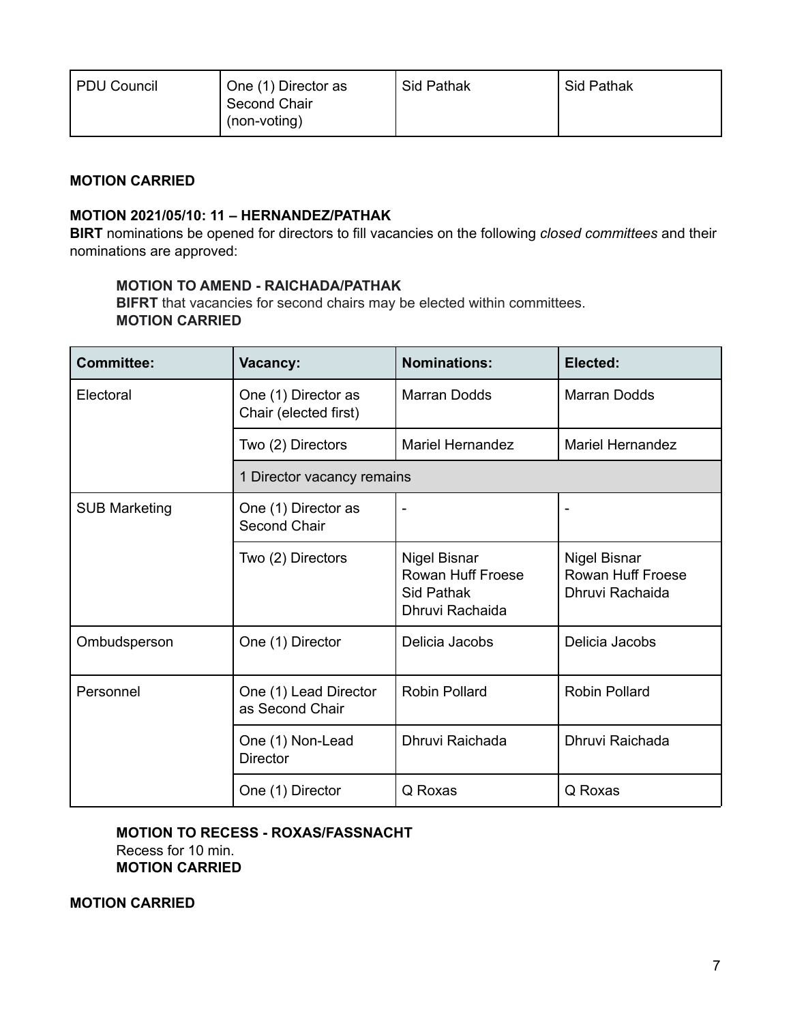| PDU Council | One (1) Director as<br><b>Second Chair</b><br>(non-voting) | Sid Pathak | <b>Sid Pathak</b> |
|-------------|------------------------------------------------------------|------------|-------------------|
|             |                                                            |            |                   |

## **MOTION CARRIED**

#### **MOTION 2021/05/10: 11 – HERNANDEZ/PATHAK**

**BIRT** nominations be opened for directors to fill vacancies on the following *closed committees* and their nominations are approved:

#### **MOTION TO AMEND - RAICHADA/PATHAK**

**BIFRT** that vacancies for second chairs may be elected within committees. **MOTION CARRIED**

| <b>Committee:</b>    | Vacancy:                                     | <b>Nominations:</b>                                                       | Elected:                                                    |  |
|----------------------|----------------------------------------------|---------------------------------------------------------------------------|-------------------------------------------------------------|--|
| Electoral            | One (1) Director as<br>Chair (elected first) | Marran Dodds                                                              | <b>Marran Dodds</b>                                         |  |
|                      | Two (2) Directors                            | <b>Mariel Hernandez</b>                                                   | <b>Mariel Hernandez</b>                                     |  |
|                      | 1 Director vacancy remains                   |                                                                           |                                                             |  |
| <b>SUB Marketing</b> | One (1) Director as<br>Second Chair          | $\overline{\phantom{a}}$                                                  |                                                             |  |
|                      | Two (2) Directors                            | <b>Nigel Bisnar</b><br>Rowan Huff Froese<br>Sid Pathak<br>Dhruvi Rachaida | <b>Nigel Bisnar</b><br>Rowan Huff Froese<br>Dhruvi Rachaida |  |
| Ombudsperson         | One (1) Director                             | Delicia Jacobs                                                            | Delicia Jacobs                                              |  |
| Personnel            | One (1) Lead Director<br>as Second Chair     | <b>Robin Pollard</b>                                                      | Robin Pollard                                               |  |
|                      | One (1) Non-Lead<br><b>Director</b>          | Dhruvi Raichada                                                           | Dhruvi Raichada                                             |  |
|                      | One (1) Director                             | Q Roxas                                                                   | Q Roxas                                                     |  |

## **MOTION TO RECESS - ROXAS/FASSNACHT** Recess for 10 min. **MOTION CARRIED**

**MOTION CARRIED**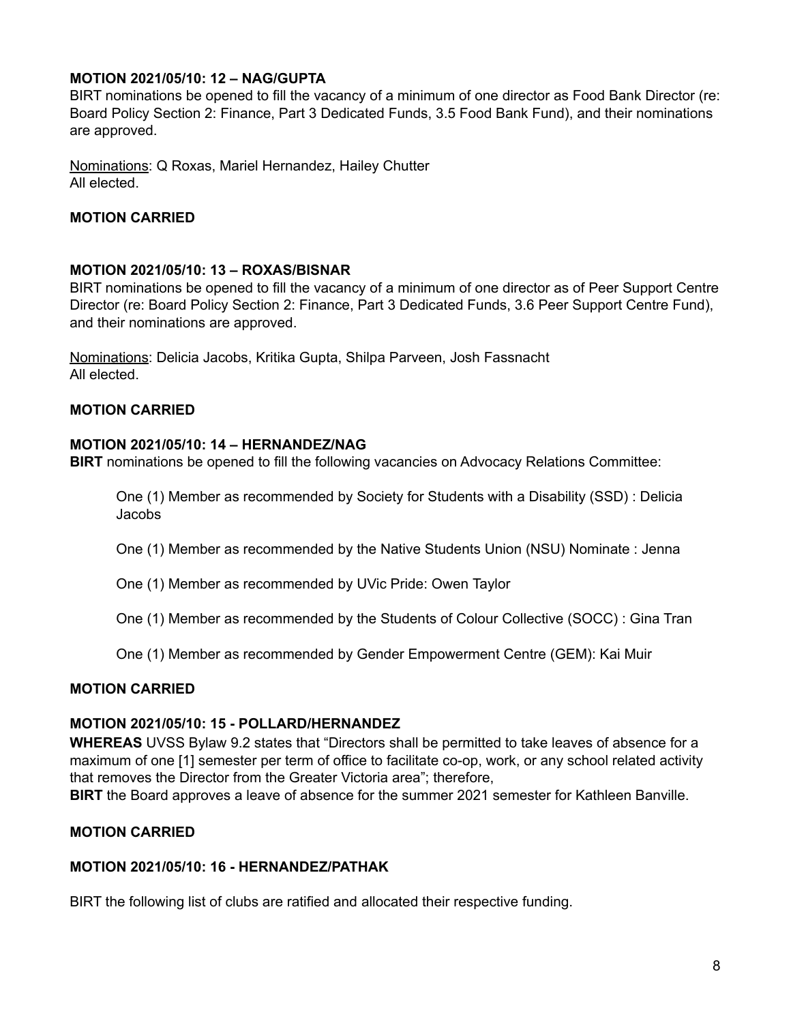## **MOTION 2021/05/10: 12 – NAG/GUPTA**

BIRT nominations be opened to fill the vacancy of a minimum of one director as Food Bank Director (re: Board Policy Section 2: Finance, Part 3 Dedicated Funds, 3.5 Food Bank Fund), and their nominations are approved.

Nominations: Q Roxas, Mariel Hernandez, Hailey Chutter All elected.

#### **MOTION CARRIED**

#### **MOTION 2021/05/10: 13 – ROXAS/BISNAR**

BIRT nominations be opened to fill the vacancy of a minimum of one director as of Peer Support Centre Director (re: Board Policy Section 2: Finance, Part 3 Dedicated Funds, 3.6 Peer Support Centre Fund), and their nominations are approved.

Nominations: Delicia Jacobs, Kritika Gupta, Shilpa Parveen, Josh Fassnacht All elected.

#### **MOTION CARRIED**

#### **MOTION 2021/05/10: 14 – HERNANDEZ/NAG**

**BIRT** nominations be opened to fill the following vacancies on Advocacy Relations Committee:

One (1) Member as recommended by Society for Students with a Disability (SSD) : Delicia Jacobs

One (1) Member as recommended by the Native Students Union (NSU) Nominate : Jenna

One (1) Member as recommended by UVic Pride: Owen Taylor

One (1) Member as recommended by the Students of Colour Collective (SOCC) : Gina Tran

One (1) Member as recommended by Gender Empowerment Centre (GEM): Kai Muir

#### **MOTION CARRIED**

#### **MOTION 2021/05/10: 15 - POLLARD/HERNANDEZ**

**WHEREAS** UVSS Bylaw 9.2 states that "Directors shall be permitted to take leaves of absence for a maximum of one [1] semester per term of office to facilitate co-op, work, or any school related activity that removes the Director from the Greater Victoria area"; therefore,

**BIRT** the Board approves a leave of absence for the summer 2021 semester for Kathleen Banville.

#### **MOTION CARRIED**

#### **MOTION 2021/05/10: 16 - HERNANDEZ/PATHAK**

BIRT the following list of clubs are ratified and allocated their respective funding.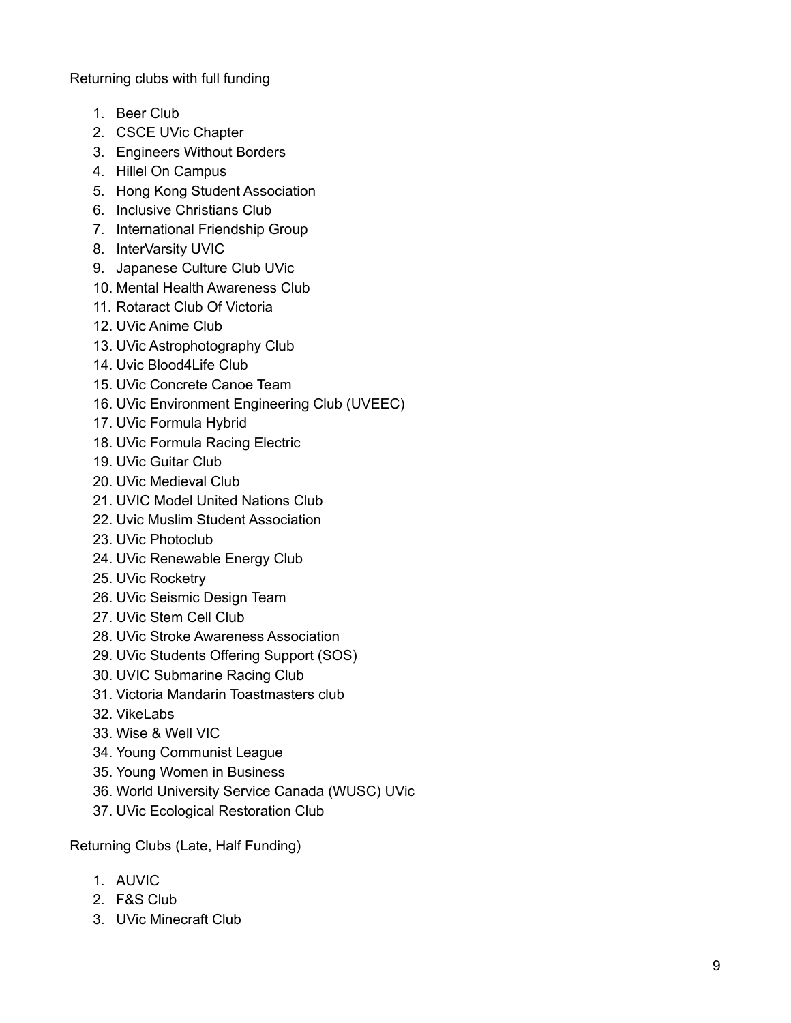Returning clubs with full funding

- 1. Beer Club
- 2. CSCE UVic Chapter
- 3. Engineers Without Borders
- 4. Hillel On Campus
- 5. Hong Kong Student Association
- 6. Inclusive Christians Club
- 7. International Friendship Group
- 8. InterVarsity UVIC
- 9. Japanese Culture Club UVic
- 10. Mental Health Awareness Club
- 11. Rotaract Club Of Victoria
- 12. UVic Anime Club
- 13. UVic Astrophotography Club
- 14. Uvic Blood4Life Club
- 15. UVic Concrete Canoe Team
- 16. UVic Environment Engineering Club (UVEEC)
- 17. UVic Formula Hybrid
- 18. UVic Formula Racing Electric
- 19. UVic Guitar Club
- 20. UVic Medieval Club
- 21. UVIC Model United Nations Club
- 22. Uvic Muslim Student Association
- 23. UVic Photoclub
- 24. UVic Renewable Energy Club
- 25. UVic Rocketry
- 26. UVic Seismic Design Team
- 27. UVic Stem Cell Club
- 28. UVic Stroke Awareness Association
- 29. UVic Students Offering Support (SOS)
- 30. UVIC Submarine Racing Club
- 31. Victoria Mandarin Toastmasters club
- 3 2. Vik e L a b s
- 3 3. Wis e & W ell VIC
- 34. Young Communist League
- 35. Young Women in Business
- 36. World University Service Canada (WUSC) UVic
- 37. UVic Ecological Restoration Club

Returning Clubs (Late, Half Funding)

- 1. A U VIC
- 2. F & S Clu b
- 3. UVic Minecraft Club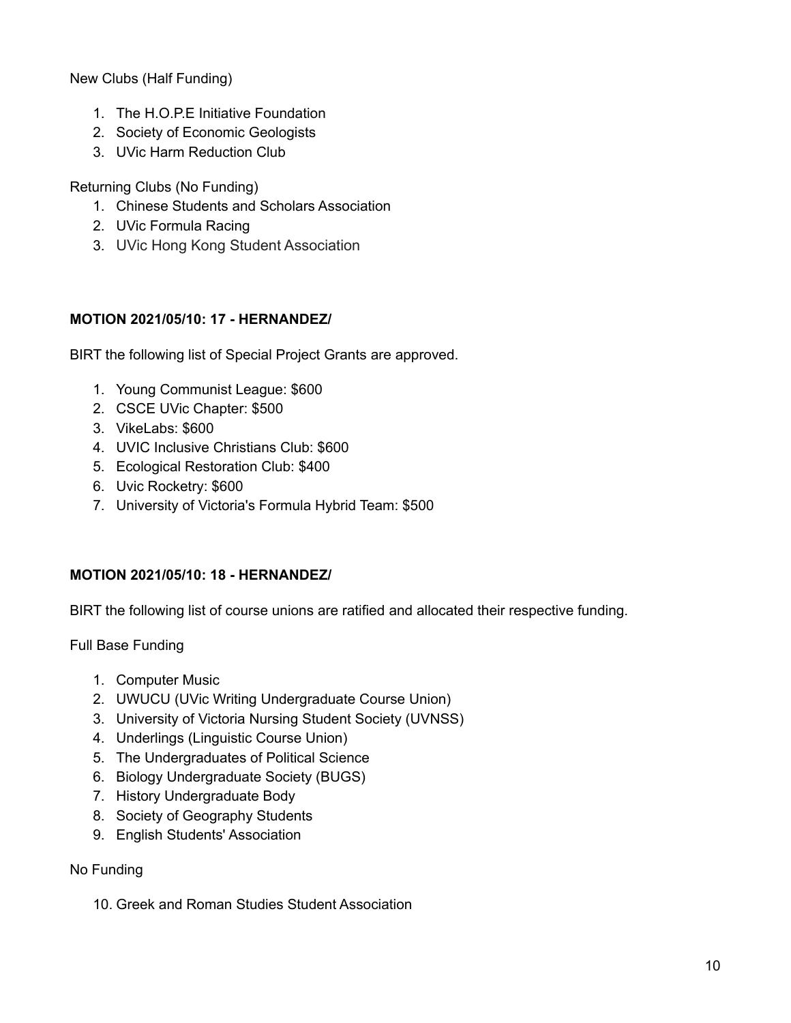New Clubs (Half Funding)

- 1. The H.O.P.E Initiative Foundation
- 2. Society of Economic Geologists
- 3. UVic Harm Reduction Club

Returning Clubs (No Funding)

- 1. Chinese Students and Scholars Association
- 2. UVic Formula Racing
- 3. UVic Hong Kong Student Association

## **MOTION 2021/05/10: 17 - HERNANDEZ/**

BIRT the following list of Special Project Grants are approved.

- 1. Young Communist League: \$600
- 2. CSCE UVic Chapter: \$500
- 3. VikeLabs: \$600
- 4. UVIC Inclusive Christians Club: \$600
- 5. Ecological Restoration Club: \$400
- 6. Uvic Rocketry: \$600
- 7. University of Victoria's Formula Hybrid Team: \$500

## **MOTION 2021/05/10: 18 - HERNANDEZ/**

BIRT the following list of course unions are ratified and allocated their respective funding.

Full Base Funding

- 1. Computer Music
- 2. UWUCU (UVic Writing Undergraduate Course Union)
- 3. University of Victoria Nursing Student Society (UVNSS)
- 4. Underlings (Linguistic Course Union)
- 5. The Undergraduates of Political Science
- 6. Biology Undergraduate Society (BUGS)
- 7. History Undergraduate Body
- 8. Society of Geography Students
- 9. English Students' Association

## No Funding

10. Greek and Roman Studies Student Association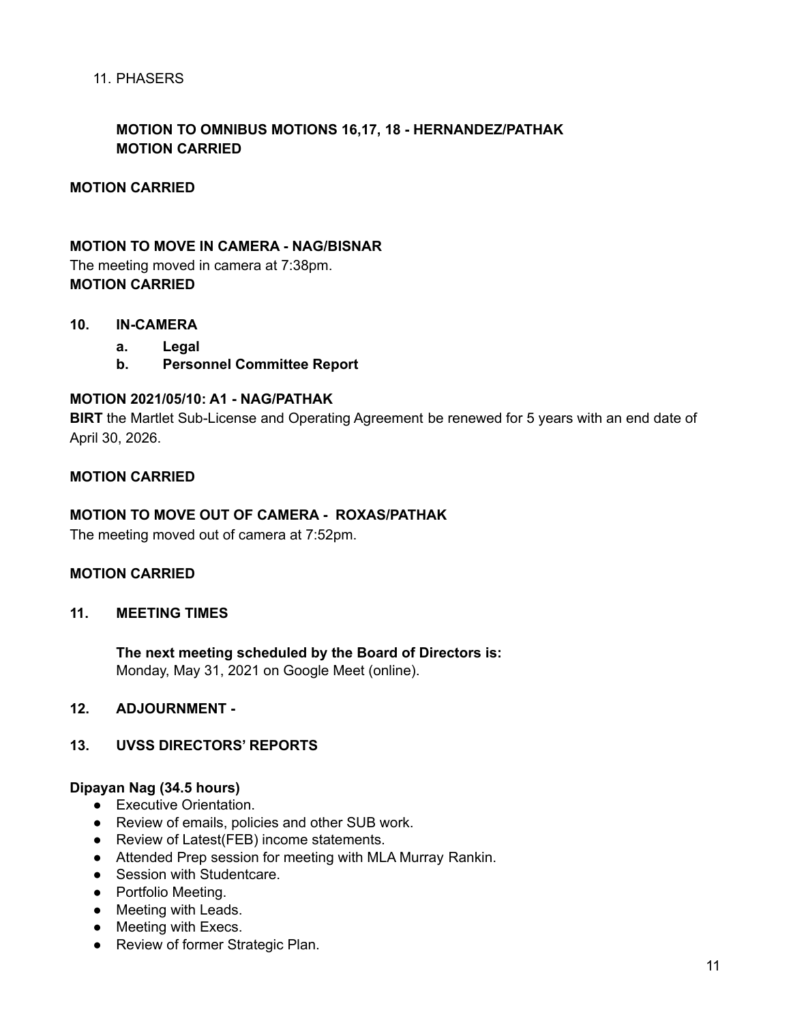#### 11. PHASERS

## **MOTION TO OMNIBUS MOTIONS 16,17, 18 - HERNANDEZ/PATHAK MOTION CARRIED**

#### **MOTION CARRIED**

#### **MOTION TO MOVE IN CAMERA - NAG/BISNAR**

The meeting moved in camera at 7:38pm. **MOTION CARRIED**

#### **10. IN-CAMERA**

- **a. Legal**
- **b. Personnel Committee Report**

#### **MOTION 2021/05/10: A1 - NAG/PATHAK**

**BIRT** the Martlet Sub-License and Operating Agreement be renewed for 5 years with an end date of April 30, 2026.

#### **MOTION CARRIED**

#### **MOTION TO MOVE OUT OF CAMERA - ROXAS/PATHAK**

The meeting moved out of camera at 7:52pm.

#### **MOTION CARRIED**

#### **11. MEETING TIMES**

**The next meeting scheduled by the Board of Directors is:** Monday, May 31, 2021 on Google Meet (online).

#### **12. ADJOURNMENT -**

#### **13. UVSS DIRECTORS' REPORTS**

#### **Dipayan Nag (34.5 hours)**

- Executive Orientation.
- Review of emails, policies and other SUB work.
- Review of Latest(FEB) income statements.
- Attended Prep session for meeting with MLA Murray Rankin.
- Session with Studentcare.
- Portfolio Meeting.
- Meeting with Leads.
- Meeting with Execs.
- Review of former Strategic Plan.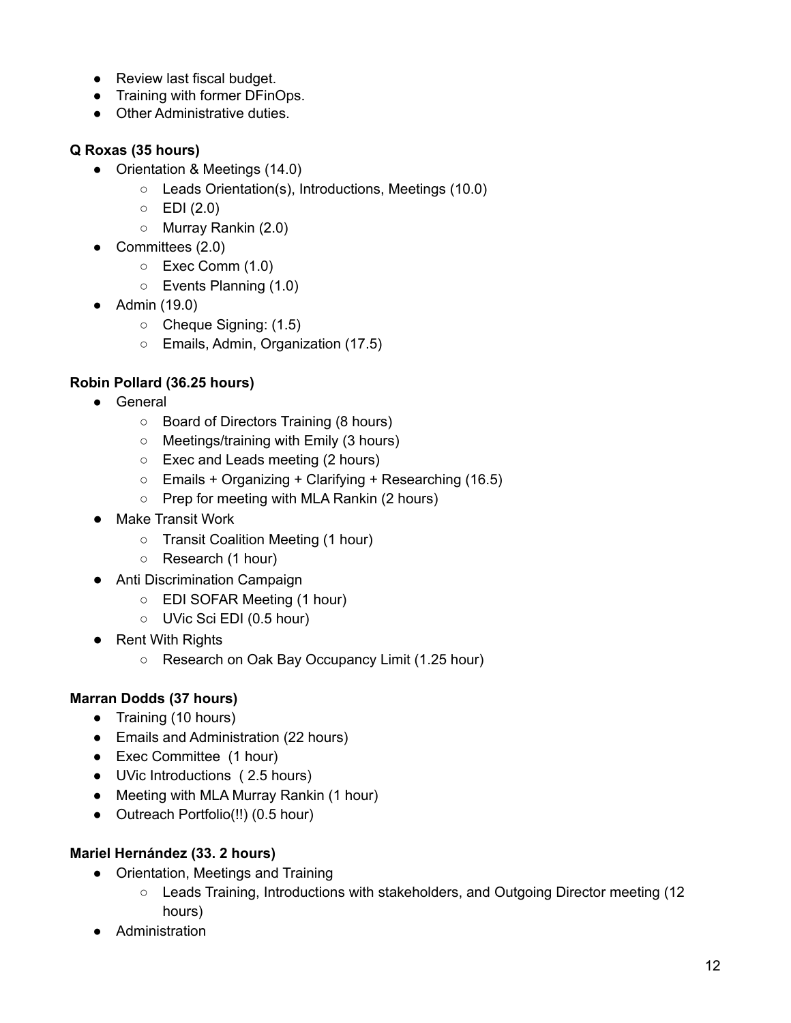- Review last fiscal budget.
- Training with former DFinOps.
- Other Administrative duties.

## **Q Roxas (35 hours)**

- Orientation & Meetings (14.0)
	- Leads Orientation(s), Introductions, Meetings (10.0)
	- $\circ$  EDI (2.0)
	- Murray Rankin (2.0)
- Committees (2.0)
	- Exec Comm (1.0)
	- Events Planning (1.0)
- Admin (19.0)
	- Cheque Signing: (1.5)
	- Emails, Admin, Organization (17.5)

## **Robin Pollard (36.25 hours)**

- General
	- Board of Directors Training (8 hours)
	- Meetings/training with Emily (3 hours)
	- Exec and Leads meeting (2 hours)
	- $\circ$  Emails + Organizing + Clarifying + Researching (16.5)
	- Prep for meeting with MLA Rankin (2 hours)
- Make Transit Work
	- Transit Coalition Meeting (1 hour)
	- Research (1 hour)
- Anti Discrimination Campaign
	- EDI SOFAR Meeting (1 hour)
	- UVic Sci EDI (0.5 hour)
- Rent With Rights
	- Research on Oak Bay Occupancy Limit (1.25 hour)

## **Marran Dodds (37 hours)**

- Training (10 hours)
- Emails and Administration (22 hours)
- Exec Committee (1 hour)
- UVic Introductions ( 2.5 hours)
- Meeting with MLA Murray Rankin (1 hour)
- Outreach Portfolio(!!) (0.5 hour)

## **Mariel Hernández (33. 2 hours)**

- Orientation, Meetings and Training
	- Leads Training, Introductions with stakeholders, and Outgoing Director meeting (12 hours)
- Administration